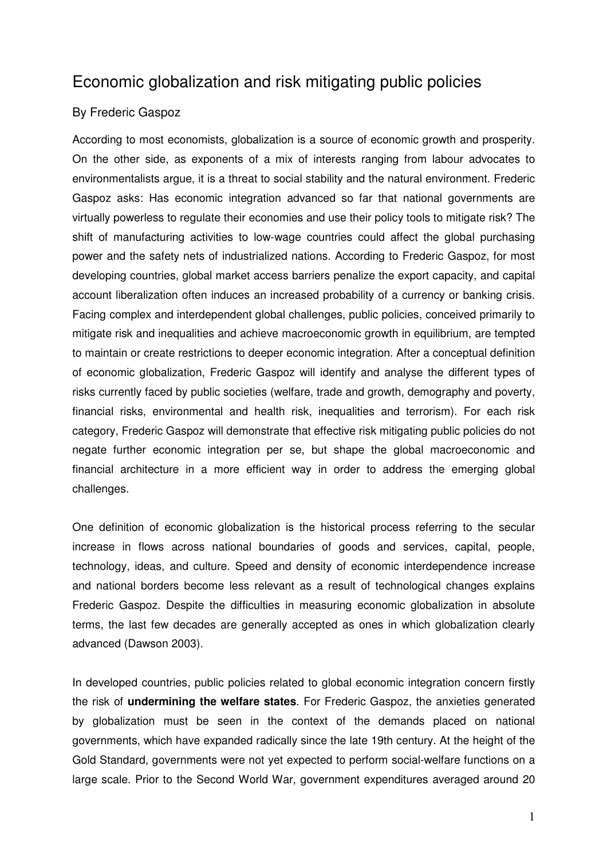## Economic globalization and risk mitigating public policies

## By Frederic Gaspoz

According to most economists, globalization is a source of economic growth and prosperity. On the other side, as exponents of a mix of interests ranging from labour advocates to environmentalists argue, it is a threat to social stability and the natural environment. Frederic Gaspoz asks: Has economic integration advanced so far that national governments are virtually powerless to regulate their economies and use their policy tools to mitigate risk? The shift of manufacturing activities to low-wage countries could affect the global purchasing power and the safety nets of industrialized nations. According to Frederic Gaspoz, for most developing countries, global market access barriers penalize the export capacity, and capital account liberalization often induces an increased probability of a currency or banking crisis. Facing complex and interdependent global challenges, public policies, conceived primarily to mitigate risk and inequalities and achieve macroeconomic growth in equilibrium, are tempted to maintain or create restrictions to deeper economic integration. After a conceptual definition of economic globalization, Frederic Gaspoz will identify and analyse the different types of risks currently faced by public societies (welfare, trade and growth, demography and poverty, financial risks, environmental and health risk, inequalities and terrorism). For each risk category, Frederic Gaspoz will demonstrate that effective risk mitigating public policies do not negate further economic integration per se, but shape the global macroeconomic and financial architecture in a more efficient way in order to address the emerging global challenges.

One definition of economic globalization is the historical process referring to the secular increase in flows across national boundaries of goods and services, capital, people, technology, ideas, and culture. Speed and density of economic interdependence increase and national borders become less relevant as a result of technological changes explains Frederic Gaspoz. Despite the difficulties in measuring economic globalization in absolute terms, the last few decades are generally accepted as ones in which globalization clearly advanced (Dawson 2003).

In developed countries, public policies related to global economic integration concern firstly the risk of **undermining the welfare states**. For Frederic Gaspoz, the anxieties generated by globalization must be seen in the context of the demands placed on national governments, which have expanded radically since the late 19th century. At the height of the Gold Standard, governments were not yet expected to perform social-welfare functions on a large scale. Prior to the Second World War, government expenditures averaged around 20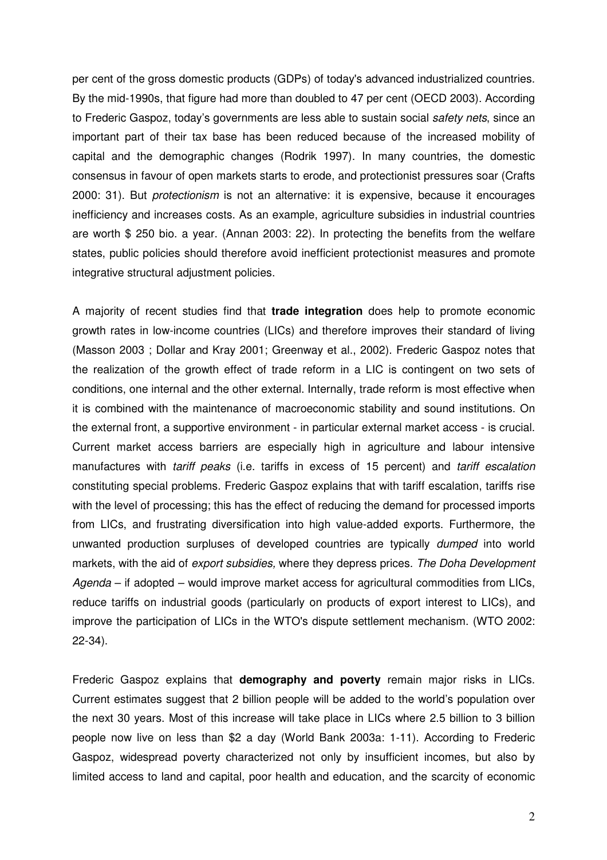per cent of the gross domestic products (GDPs) of today's advanced industrialized countries. By the mid-1990s, that figure had more than doubled to 47 per cent (OECD 2003). According to Frederic Gaspoz, today's governments are less able to sustain social *safety nets*, since an important part of their tax base has been reduced because of the increased mobility of capital and the demographic changes (Rodrik 1997). In many countries, the domestic consensus in favour of open markets starts to erode, and protectionist pressures soar (Crafts 2000: 31). But protectionism is not an alternative: it is expensive, because it encourages inefficiency and increases costs. As an example, agriculture subsidies in industrial countries are worth \$ 250 bio. a year. (Annan 2003: 22). In protecting the benefits from the welfare states, public policies should therefore avoid inefficient protectionist measures and promote integrative structural adjustment policies.

A majority of recent studies find that **trade integration** does help to promote economic growth rates in low-income countries (LICs) and therefore improves their standard of living (Masson 2003 ; Dollar and Kray 2001; Greenway et al., 2002). Frederic Gaspoz notes that the realization of the growth effect of trade reform in a LIC is contingent on two sets of conditions, one internal and the other external. Internally, trade reform is most effective when it is combined with the maintenance of macroeconomic stability and sound institutions. On the external front, a supportive environment - in particular external market access - is crucial. Current market access barriers are especially high in agriculture and labour intensive manufactures with tariff peaks (i.e. tariffs in excess of 15 percent) and tariff escalation constituting special problems. Frederic Gaspoz explains that with tariff escalation, tariffs rise with the level of processing; this has the effect of reducing the demand for processed imports from LICs, and frustrating diversification into high value-added exports. Furthermore, the unwanted production surpluses of developed countries are typically dumped into world markets, with the aid of export subsidies, where they depress prices. The Doha Development Agenda – if adopted – would improve market access for agricultural commodities from LICs, reduce tariffs on industrial goods (particularly on products of export interest to LICs), and improve the participation of LICs in the WTO's dispute settlement mechanism. (WTO 2002: 22-34).

Frederic Gaspoz explains that **demography and poverty** remain major risks in LICs. Current estimates suggest that 2 billion people will be added to the world's population over the next 30 years. Most of this increase will take place in LICs where 2.5 billion to 3 billion people now live on less than \$2 a day (World Bank 2003a: 1-11). According to Frederic Gaspoz, widespread poverty characterized not only by insufficient incomes, but also by limited access to land and capital, poor health and education, and the scarcity of economic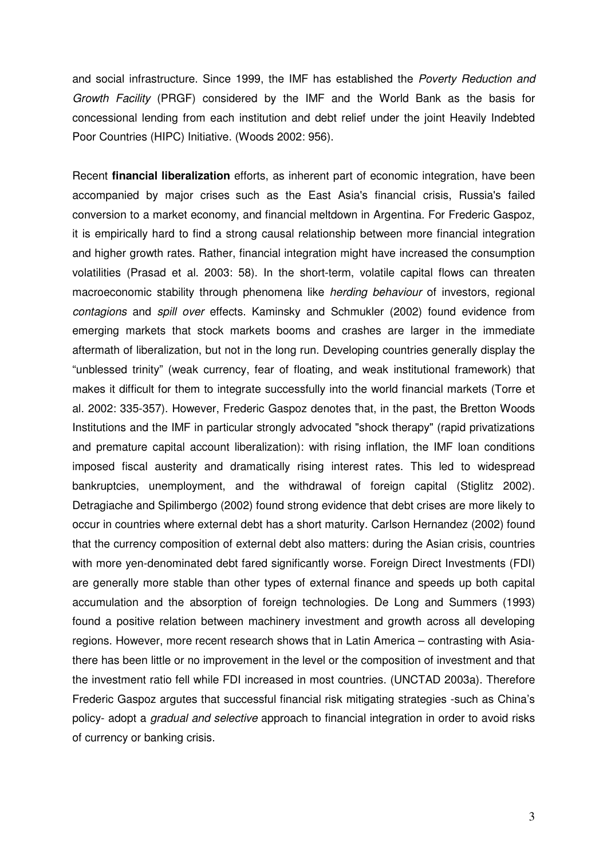and social infrastructure. Since 1999, the IMF has established the Poverty Reduction and Growth Facility (PRGF) considered by the IMF and the World Bank as the basis for concessional lending from each institution and debt relief under the joint Heavily Indebted Poor Countries (HIPC) Initiative. (Woods 2002: 956).

Recent **financial liberalization** efforts, as inherent part of economic integration, have been accompanied by major crises such as the East Asia's financial crisis, Russia's failed conversion to a market economy, and financial meltdown in Argentina. For Frederic Gaspoz, it is empirically hard to find a strong causal relationship between more financial integration and higher growth rates. Rather, financial integration might have increased the consumption volatilities (Prasad et al. 2003: 58). In the short-term, volatile capital flows can threaten macroeconomic stability through phenomena like herding behaviour of investors, regional contagions and spill over effects. Kaminsky and Schmukler (2002) found evidence from emerging markets that stock markets booms and crashes are larger in the immediate aftermath of liberalization, but not in the long run. Developing countries generally display the "unblessed trinity" (weak currency, fear of floating, and weak institutional framework) that makes it difficult for them to integrate successfully into the world financial markets (Torre et al. 2002: 335-357). However, Frederic Gaspoz denotes that, in the past, the Bretton Woods Institutions and the IMF in particular strongly advocated "shock therapy" (rapid privatizations and premature capital account liberalization): with rising inflation, the IMF loan conditions imposed fiscal austerity and dramatically rising interest rates. This led to widespread bankruptcies, unemployment, and the withdrawal of foreign capital (Stiglitz 2002). Detragiache and Spilimbergo (2002) found strong evidence that debt crises are more likely to occur in countries where external debt has a short maturity. Carlson Hernandez (2002) found that the currency composition of external debt also matters: during the Asian crisis, countries with more yen-denominated debt fared significantly worse. Foreign Direct Investments (FDI) are generally more stable than other types of external finance and speeds up both capital accumulation and the absorption of foreign technologies. De Long and Summers (1993) found a positive relation between machinery investment and growth across all developing regions. However, more recent research shows that in Latin America – contrasting with Asiathere has been little or no improvement in the level or the composition of investment and that the investment ratio fell while FDI increased in most countries. (UNCTAD 2003a). Therefore Frederic Gaspoz argutes that successful financial risk mitigating strategies -such as China's policy- adopt a gradual and selective approach to financial integration in order to avoid risks of currency or banking crisis.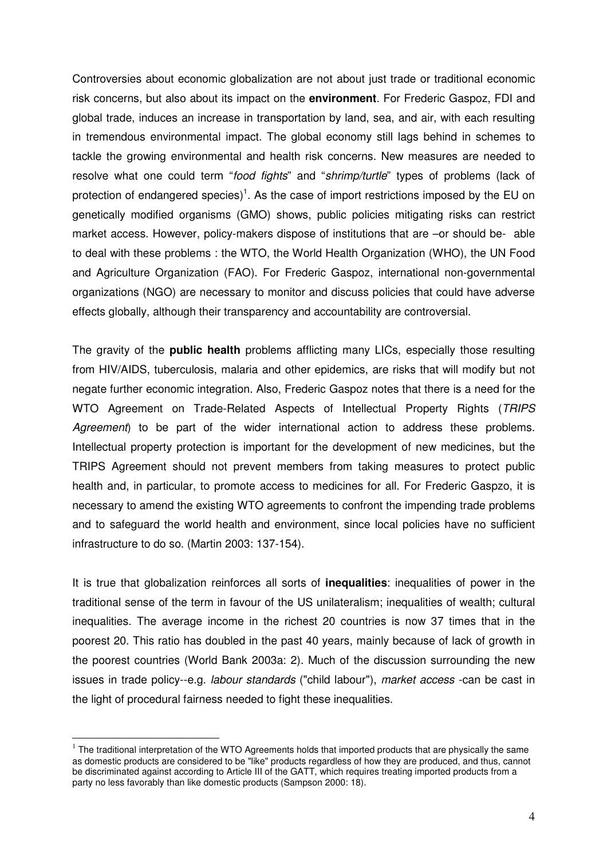Controversies about economic globalization are not about just trade or traditional economic risk concerns, but also about its impact on the **environment**. For Frederic Gaspoz, FDI and global trade, induces an increase in transportation by land, sea, and air, with each resulting in tremendous environmental impact. The global economy still lags behind in schemes to tackle the growing environmental and health risk concerns. New measures are needed to resolve what one could term "food fights" and "shrimp/turtle" types of problems (lack of protection of endangered species)<sup>1</sup>. As the case of import restrictions imposed by the EU on genetically modified organisms (GMO) shows, public policies mitigating risks can restrict market access. However, policy-makers dispose of institutions that are –or should be- able to deal with these problems : the WTO, the World Health Organization (WHO), the UN Food and Agriculture Organization (FAO). For Frederic Gaspoz, international non-governmental organizations (NGO) are necessary to monitor and discuss policies that could have adverse effects globally, although their transparency and accountability are controversial.

The gravity of the **public health** problems afflicting many LICs, especially those resulting from HIV/AIDS, tuberculosis, malaria and other epidemics, are risks that will modify but not negate further economic integration. Also, Frederic Gaspoz notes that there is a need for the WTO Agreement on Trade-Related Aspects of Intellectual Property Rights (TRIPS) Agreement) to be part of the wider international action to address these problems. Intellectual property protection is important for the development of new medicines, but the TRIPS Agreement should not prevent members from taking measures to protect public health and, in particular, to promote access to medicines for all. For Frederic Gaspzo, it is necessary to amend the existing WTO agreements to confront the impending trade problems and to safeguard the world health and environment, since local policies have no sufficient infrastructure to do so. (Martin 2003: 137-154).

It is true that globalization reinforces all sorts of **inequalities**: inequalities of power in the traditional sense of the term in favour of the US unilateralism; inequalities of wealth; cultural inequalities. The average income in the richest 20 countries is now 37 times that in the poorest 20. This ratio has doubled in the past 40 years, mainly because of lack of growth in the poorest countries (World Bank 2003a: 2). Much of the discussion surrounding the new issues in trade policy--e.g. *labour standards* ("child labour"), market access -can be cast in the light of procedural fairness needed to fight these inequalities.

l.

 $1$  The traditional interpretation of the WTO Agreements holds that imported products that are physically the same as domestic products are considered to be "like" products regardless of how they are produced, and thus, cannot be discriminated against according to Article III of the GATT, which requires treating imported products from a party no less favorably than like domestic products (Sampson 2000: 18).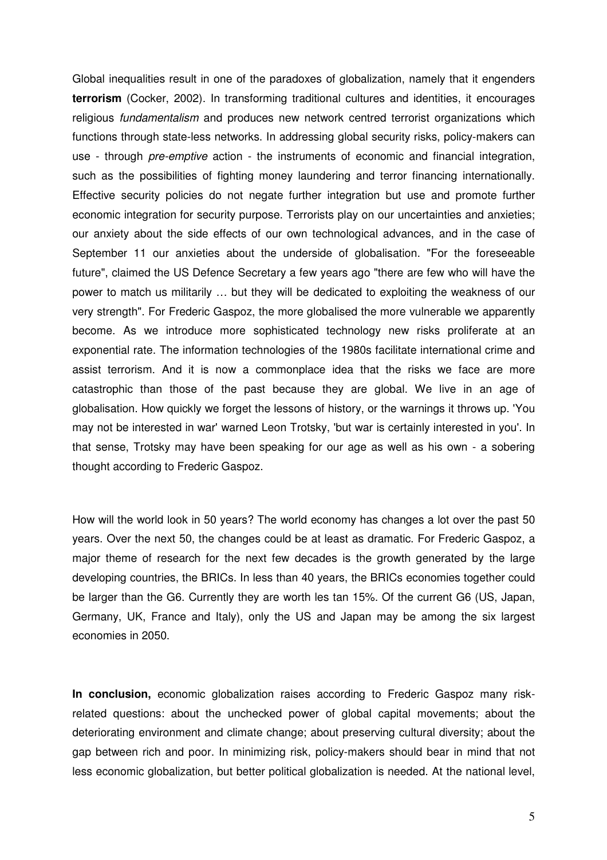Global inequalities result in one of the paradoxes of globalization, namely that it engenders **terrorism** (Cocker, 2002). In transforming traditional cultures and identities, it encourages religious *fundamentalism* and produces new network centred terrorist organizations which functions through state-less networks. In addressing global security risks, policy-makers can use - through *pre-emptive* action - the instruments of economic and financial integration, such as the possibilities of fighting money laundering and terror financing internationally. Effective security policies do not negate further integration but use and promote further economic integration for security purpose. Terrorists play on our uncertainties and anxieties; our anxiety about the side effects of our own technological advances, and in the case of September 11 our anxieties about the underside of globalisation. "For the foreseeable future", claimed the US Defence Secretary a few years ago "there are few who will have the power to match us militarily … but they will be dedicated to exploiting the weakness of our very strength". For Frederic Gaspoz, the more globalised the more vulnerable we apparently become. As we introduce more sophisticated technology new risks proliferate at an exponential rate. The information technologies of the 1980s facilitate international crime and assist terrorism. And it is now a commonplace idea that the risks we face are more catastrophic than those of the past because they are global. We live in an age of globalisation. How quickly we forget the lessons of history, or the warnings it throws up. 'You may not be interested in war' warned Leon Trotsky, 'but war is certainly interested in you'. In that sense, Trotsky may have been speaking for our age as well as his own - a sobering thought according to Frederic Gaspoz.

How will the world look in 50 years? The world economy has changes a lot over the past 50 years. Over the next 50, the changes could be at least as dramatic. For Frederic Gaspoz, a major theme of research for the next few decades is the growth generated by the large developing countries, the BRICs. In less than 40 years, the BRICs economies together could be larger than the G6. Currently they are worth les tan 15%. Of the current G6 (US, Japan, Germany, UK, France and Italy), only the US and Japan may be among the six largest economies in 2050.

**In conclusion,** economic globalization raises according to Frederic Gaspoz many riskrelated questions: about the unchecked power of global capital movements; about the deteriorating environment and climate change; about preserving cultural diversity; about the gap between rich and poor. In minimizing risk, policy-makers should bear in mind that not less economic globalization, but better political globalization is needed. At the national level,